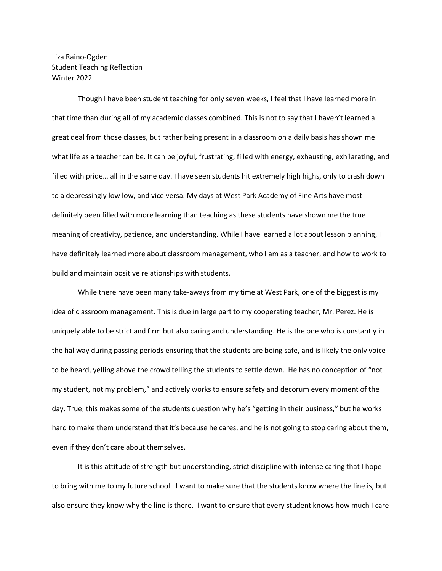Liza Raino-Ogden Student Teaching Reflection Winter 2022

Though I have been student teaching for only seven weeks, I feel that I have learned more in that time than during all of my academic classes combined. This is not to say that I haven't learned a great deal from those classes, but rather being present in a classroom on a daily basis has shown me what life as a teacher can be. It can be joyful, frustrating, filled with energy, exhausting, exhilarating, and filled with pride… all in the same day. I have seen students hit extremely high highs, only to crash down to a depressingly low low, and vice versa. My days at West Park Academy of Fine Arts have most definitely been filled with more learning than teaching as these students have shown me the true meaning of creativity, patience, and understanding. While I have learned a lot about lesson planning, I have definitely learned more about classroom management, who I am as a teacher, and how to work to build and maintain positive relationships with students.

While there have been many take-aways from my time at West Park, one of the biggest is my idea of classroom management. This is due in large part to my cooperating teacher, Mr. Perez. He is uniquely able to be strict and firm but also caring and understanding. He is the one who is constantly in the hallway during passing periods ensuring that the students are being safe, and is likely the only voice to be heard, yelling above the crowd telling the students to settle down. He has no conception of "not my student, not my problem," and actively works to ensure safety and decorum every moment of the day. True, this makes some of the students question why he's "getting in their business," but he works hard to make them understand that it's because he cares, and he is not going to stop caring about them, even if they don't care about themselves.

It is this attitude of strength but understanding, strict discipline with intense caring that I hope to bring with me to my future school. I want to make sure that the students know where the line is, but also ensure they know why the line is there. I want to ensure that every student knows how much I care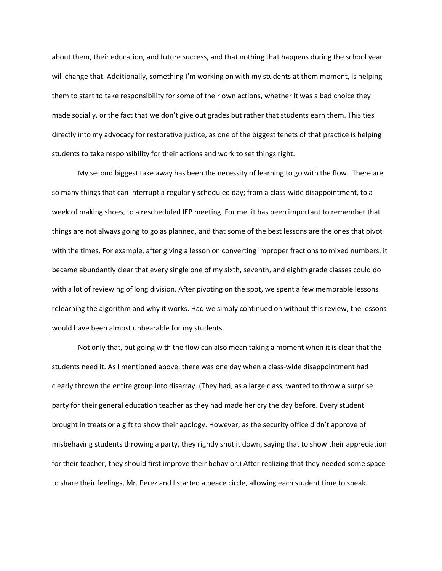about them, their education, and future success, and that nothing that happens during the school year will change that. Additionally, something I'm working on with my students at them moment, is helping them to start to take responsibility for some of their own actions, whether it was a bad choice they made socially, or the fact that we don't give out grades but rather that students earn them. This ties directly into my advocacy for restorative justice, as one of the biggest tenets of that practice is helping students to take responsibility for their actions and work to set things right.

My second biggest take away has been the necessity of learning to go with the flow. There are so many things that can interrupt a regularly scheduled day; from a class-wide disappointment, to a week of making shoes, to a rescheduled IEP meeting. For me, it has been important to remember that things are not always going to go as planned, and that some of the best lessons are the ones that pivot with the times. For example, after giving a lesson on converting improper fractions to mixed numbers, it became abundantly clear that every single one of my sixth, seventh, and eighth grade classes could do with a lot of reviewing of long division. After pivoting on the spot, we spent a few memorable lessons relearning the algorithm and why it works. Had we simply continued on without this review, the lessons would have been almost unbearable for my students.

Not only that, but going with the flow can also mean taking a moment when it is clear that the students need it. As I mentioned above, there was one day when a class-wide disappointment had clearly thrown the entire group into disarray. (They had, as a large class, wanted to throw a surprise party for their general education teacher as they had made her cry the day before. Every student brought in treats or a gift to show their apology. However, as the security office didn't approve of misbehaving students throwing a party, they rightly shut it down, saying that to show their appreciation for their teacher, they should first improve their behavior.) After realizing that they needed some space to share their feelings, Mr. Perez and I started a peace circle, allowing each student time to speak.